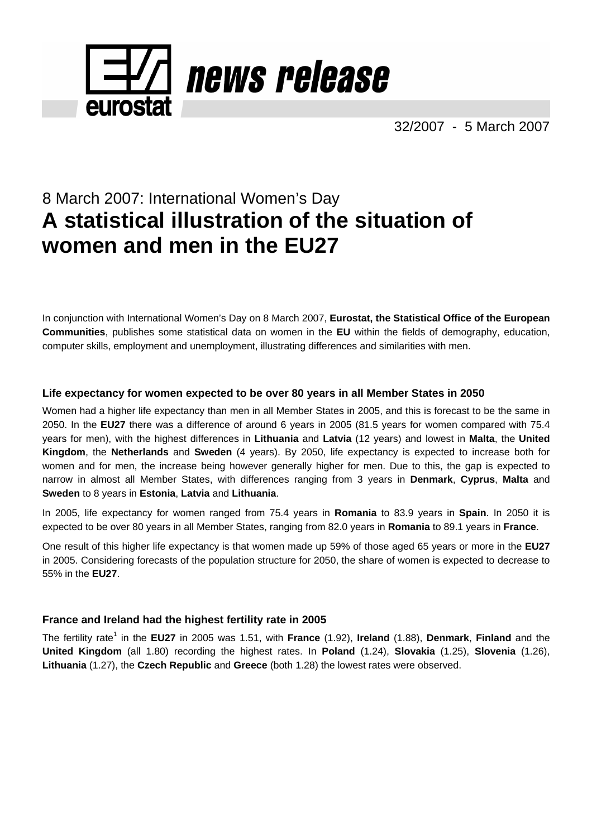

32/2007 - 5 March 2007

# 8 March 2007: International Women's Day **A statistical illustration of the situation of women and men in the EU27**

In conjunction with International Women's Day on 8 March 2007, **Eurostat, the Statistical Office of the European Communities**, publishes some statistical data on women in the **EU** within the fields of demography, education, computer skills, employment and unemployment, illustrating differences and similarities with men.

# **Life expectancy for women expected to be over 80 years in all Member States in 2050**

Women had a higher life expectancy than men in all Member States in 2005, and this is forecast to be the same in 2050. In the **EU27** there was a difference of around 6 years in 2005 (81.5 years for women compared with 75.4 years for men), with the highest differences in **Lithuania** and **Latvia** (12 years) and lowest in **Malta**, the **United Kingdom**, the **Netherlands** and **Sweden** (4 years). By 2050, life expectancy is expected to increase both for women and for men, the increase being however generally higher for men. Due to this, the gap is expected to narrow in almost all Member States, with differences ranging from 3 years in **Denmark**, **Cyprus**, **Malta** and **Sweden** to 8 years in **Estonia**, **Latvia** and **Lithuania**.

In 2005, life expectancy for women ranged from 75.4 years in **Romania** to 83.9 years in **Spain**. In 2050 it is expected to be over 80 years in all Member States, ranging from 82.0 years in **Romania** to 89.1 years in **France**.

One result of this higher life expectancy is that women made up 59% of those aged 65 years or more in the **EU27**  in 2005. Considering forecasts of the population structure for 2050, the share of women is expected to decrease to 55% in the **EU27**.

# **France and Ireland had the highest fertility rate in 2005**

The fertility rate<sup>1</sup> in the EU27 in 2005 was 1.51, with France (1.92), Ireland (1.88), Denmark, Finland and the **United Kingdom** (all 1.80) recording the highest rates. In **Poland** (1.24), **Slovakia** (1.25), **Slovenia** (1.26), **Lithuania** (1.27), the **Czech Republic** and **Greece** (both 1.28) the lowest rates were observed.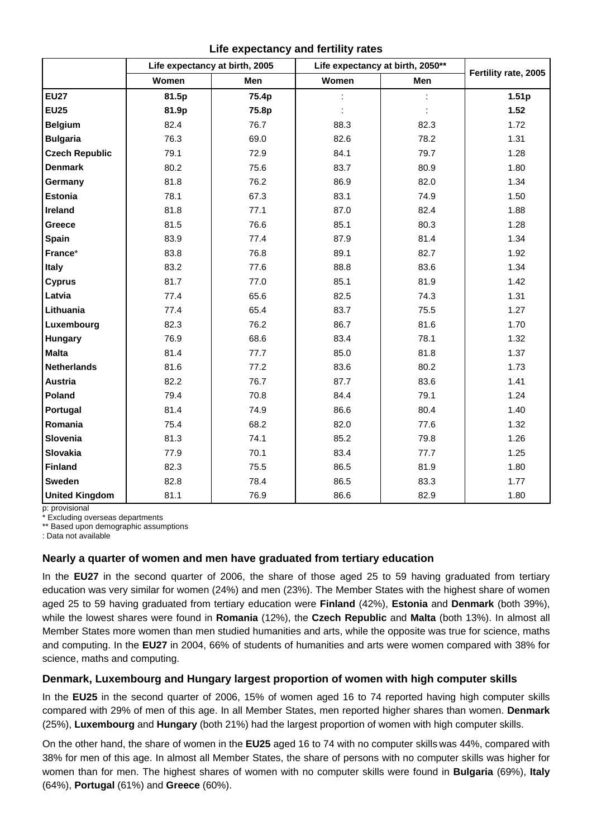|                       |       | Life expectancy at birth, 2005 | Life expectancy at birth, 2050** |      |                      |  |
|-----------------------|-------|--------------------------------|----------------------------------|------|----------------------|--|
|                       | Women | Men                            | Women                            | Men  | Fertility rate, 2005 |  |
| <b>EU27</b>           | 81.5p | 75.4p                          |                                  |      | 1.51 <sub>p</sub>    |  |
| <b>EU25</b>           | 81.9p | 75.8p                          |                                  |      | 1.52                 |  |
| <b>Belgium</b>        | 82.4  | 76.7                           | 88.3                             | 82.3 | 1.72                 |  |
| <b>Bulgaria</b>       | 76.3  | 69.0                           | 82.6                             | 78.2 | 1.31                 |  |
| <b>Czech Republic</b> | 79.1  | 72.9                           | 84.1                             | 79.7 | 1.28                 |  |
| <b>Denmark</b>        | 80.2  | 75.6                           | 83.7                             | 80.9 | 1.80                 |  |
| Germany               | 81.8  | 76.2                           | 86.9                             | 82.0 | 1.34                 |  |
| <b>Estonia</b>        | 78.1  | 67.3                           | 83.1                             | 74.9 | 1.50                 |  |
| Ireland               | 81.8  | 77.1                           | 87.0                             | 82.4 | 1.88                 |  |
| Greece                | 81.5  | 76.6                           | 85.1                             | 80.3 | 1.28                 |  |
| <b>Spain</b>          | 83.9  | 77.4                           | 87.9                             | 81.4 | 1.34                 |  |
| France*               | 83.8  | 76.8                           | 89.1                             | 82.7 | 1.92                 |  |
| <b>Italy</b>          | 83.2  | 77.6                           | 88.8                             | 83.6 | 1.34                 |  |
| <b>Cyprus</b>         | 81.7  | 77.0                           | 85.1                             | 81.9 | 1.42                 |  |
| Latvia                | 77.4  | 65.6                           | 82.5                             | 74.3 | 1.31                 |  |
| Lithuania             | 77.4  | 65.4                           | 83.7                             | 75.5 | 1.27                 |  |
| Luxembourg            | 82.3  | 76.2                           | 86.7                             | 81.6 | 1.70                 |  |
| Hungary               | 76.9  | 68.6                           | 83.4                             | 78.1 | 1.32                 |  |
| <b>Malta</b>          | 81.4  | 77.7                           | 85.0                             | 81.8 | 1.37                 |  |
| <b>Netherlands</b>    | 81.6  | 77.2                           | 83.6                             | 80.2 | 1.73                 |  |
| Austria               | 82.2  | 76.7                           | 87.7                             | 83.6 | 1.41                 |  |
| Poland                | 79.4  | 70.8                           | 84.4                             | 79.1 | 1.24                 |  |
| Portugal              | 81.4  | 74.9                           | 86.6                             | 80.4 | 1.40                 |  |
| Romania               | 75.4  | 68.2                           | 82.0                             | 77.6 | 1.32                 |  |
| Slovenia              | 81.3  | 74.1                           | 85.2                             | 79.8 | 1.26                 |  |
| Slovakia              | 77.9  | 70.1                           | 83.4                             | 77.7 | 1.25                 |  |
| <b>Finland</b>        | 82.3  | 75.5                           | 86.5                             | 81.9 | 1.80                 |  |
| Sweden                | 82.8  | 78.4                           | 86.5                             | 83.3 | 1.77                 |  |
| <b>United Kingdom</b> | 81.1  | 76.9                           | 86.6                             | 82.9 | 1.80                 |  |

# **Life expectancy and fertility rates**

p: provisional

**Excluding overseas departments** 

\*\* Based upon demographic assumptions

: Data not available

# **Nearly a quarter of women and men have graduated from tertiary education**

In the **EU27** in the second quarter of 2006, the share of those aged 25 to 59 having graduated from tertiary education was very similar for women (24%) and men (23%). The Member States with the highest share of women aged 25 to 59 having graduated from tertiary education were **Finland** (42%), **Estonia** and **Denmark** (both 39%), while the lowest shares were found in **Romania** (12%), the **Czech Republic** and **Malta** (both 13%). In almost all Member States more women than men studied humanities and arts, while the opposite was true for science, maths and computing. In the **EU27** in 2004, 66% of students of humanities and arts were women compared with 38% for science, maths and computing.

# **Denmark, Luxembourg and Hungary largest proportion of women with high computer skills**

In the **EU25** in the second quarter of 2006, 15% of women aged 16 to 74 reported having high computer skills compared with 29% of men of this age. In all Member States, men reported higher shares than women. **Denmark** (25%), **Luxembourg** and **Hungary** (both 21%) had the largest proportion of women with high computer skills.

On the other hand, the share of women in the **EU25** aged 16 to 74 with no computer skills was 44%, compared with 38% for men of this age. In almost all Member States, the share of persons with no computer skills was higher for women than for men. The highest shares of women with no computer skills were found in **Bulgaria** (69%), **Italy** (64%), **Portugal** (61%) and **Greece** (60%).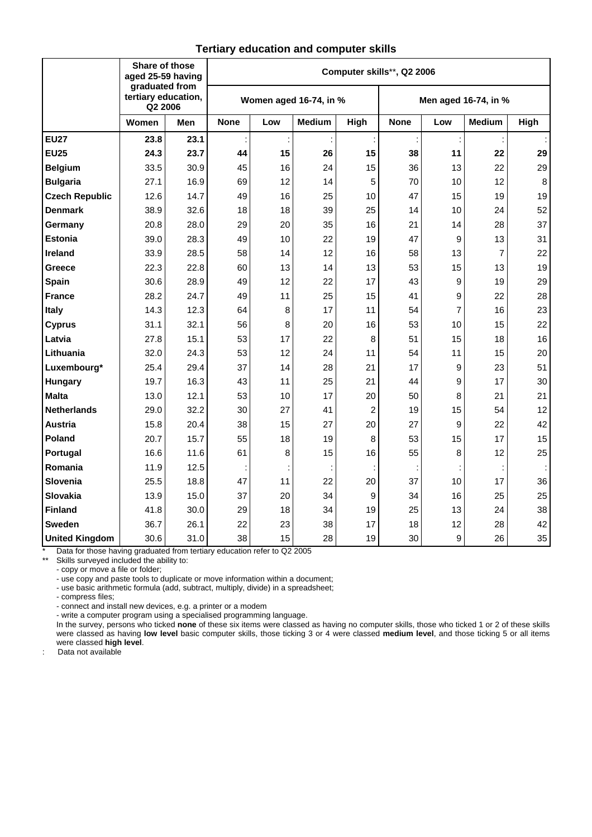|                       | Share of those<br>aged 25-59 having<br>graduated from<br>tertiary education,<br>Q <sub>2</sub> 2006 |      | Computer skills**, Q2 2006 |     |               |                      |             |                |                |      |
|-----------------------|-----------------------------------------------------------------------------------------------------|------|----------------------------|-----|---------------|----------------------|-------------|----------------|----------------|------|
|                       |                                                                                                     |      | Women aged 16-74, in %     |     |               | Men aged 16-74, in % |             |                |                |      |
|                       | Women                                                                                               | Men  | <b>None</b>                | Low | <b>Medium</b> | High                 | <b>None</b> | Low            | <b>Medium</b>  | High |
| <b>EU27</b>           | 23.8                                                                                                | 23.1 |                            |     |               |                      |             |                |                |      |
| <b>EU25</b>           | 24.3                                                                                                | 23.7 | 44                         | 15  | 26            | 15                   | 38          | 11             | 22             | 29   |
| <b>Belgium</b>        | 33.5                                                                                                | 30.9 | 45                         | 16  | 24            | 15                   | 36          | 13             | 22             | 29   |
| <b>Bulgaria</b>       | 27.1                                                                                                | 16.9 | 69                         | 12  | 14            | 5                    | 70          | 10             | 12             | 8    |
| <b>Czech Republic</b> | 12.6                                                                                                | 14.7 | 49                         | 16  | 25            | 10                   | 47          | 15             | 19             | 19   |
| <b>Denmark</b>        | 38.9                                                                                                | 32.6 | 18                         | 18  | 39            | 25                   | 14          | 10             | 24             | 52   |
| Germany               | 20.8                                                                                                | 28.0 | 29                         | 20  | 35            | 16                   | 21          | 14             | 28             | 37   |
| <b>Estonia</b>        | 39.0                                                                                                | 28.3 | 49                         | 10  | 22            | 19                   | 47          | 9              | 13             | 31   |
| <b>Ireland</b>        | 33.9                                                                                                | 28.5 | 58                         | 14  | 12            | 16                   | 58          | 13             | $\overline{7}$ | 22   |
| Greece                | 22.3                                                                                                | 22.8 | 60                         | 13  | 14            | 13                   | 53          | 15             | 13             | 19   |
| Spain                 | 30.6                                                                                                | 28.9 | 49                         | 12  | 22            | 17                   | 43          | 9              | 19             | 29   |
| <b>France</b>         | 28.2                                                                                                | 24.7 | 49                         | 11  | 25            | 15                   | 41          | 9              | 22             | 28   |
| Italy                 | 14.3                                                                                                | 12.3 | 64                         | 8   | 17            | 11                   | 54          | $\overline{7}$ | 16             | 23   |
| <b>Cyprus</b>         | 31.1                                                                                                | 32.1 | 56                         | 8   | 20            | 16                   | 53          | 10             | 15             | 22   |
| Latvia                | 27.8                                                                                                | 15.1 | 53                         | 17  | 22            | 8                    | 51          | 15             | 18             | 16   |
| Lithuania             | 32.0                                                                                                | 24.3 | 53                         | 12  | 24            | 11                   | 54          | 11             | 15             | 20   |
| Luxembourg*           | 25.4                                                                                                | 29.4 | 37                         | 14  | 28            | 21                   | 17          | 9              | 23             | 51   |
| Hungary               | 19.7                                                                                                | 16.3 | 43                         | 11  | 25            | 21                   | 44          | 9              | 17             | 30   |
| <b>Malta</b>          | 13.0                                                                                                | 12.1 | 53                         | 10  | 17            | 20                   | 50          | 8              | 21             | 21   |
| <b>Netherlands</b>    | 29.0                                                                                                | 32.2 | 30                         | 27  | 41            | 2                    | 19          | 15             | 54             | 12   |
| <b>Austria</b>        | 15.8                                                                                                | 20.4 | 38                         | 15  | 27            | 20                   | 27          | 9              | 22             | 42   |
| <b>Poland</b>         | 20.7                                                                                                | 15.7 | 55                         | 18  | 19            | 8                    | 53          | 15             | 17             | 15   |
| Portugal              | 16.6                                                                                                | 11.6 | 61                         | 8   | 15            | 16                   | 55          | 8              | 12             | 25   |
| Romania               | 11.9                                                                                                | 12.5 |                            |     |               |                      | ÷           |                |                |      |
| <b>Slovenia</b>       | 25.5                                                                                                | 18.8 | 47                         | 11  | 22            | 20                   | 37          | 10             | 17             | 36   |
| <b>Slovakia</b>       | 13.9                                                                                                | 15.0 | 37                         | 20  | 34            | 9                    | 34          | 16             | 25             | 25   |
| <b>Finland</b>        | 41.8                                                                                                | 30.0 | 29                         | 18  | 34            | 19                   | 25          | 13             | 24             | 38   |
| <b>Sweden</b>         | 36.7                                                                                                | 26.1 | 22                         | 23  | 38            | 17                   | 18          | 12             | 28             | 42   |
| <b>United Kingdom</b> | 30.6                                                                                                | 31.0 | 38                         | 15  | 28            | 19                   | 30          | 9              | 26             | 35   |

\* Data for those having graduated from tertiary education refer to Q2 2005

Skills surveyed included the ability to:

- copy or move a file or folder;

- use copy and paste tools to duplicate or move information within a document;

- use basic arithmetic formula (add, subtract, multiply, divide) in a spreadsheet;

- compress files;

- connect and install new devices, e.g. a printer or a modem

- write a computer program using a specialised programming language.

 In the survey, persons who ticked **none** of these six items were classed as having no computer skills, those who ticked 1 or 2 of these skills were classed as having **low level** basic computer skills, those ticking 3 or 4 were classed **medium level**, and those ticking 5 or all items were classed **high level**.

: Data not available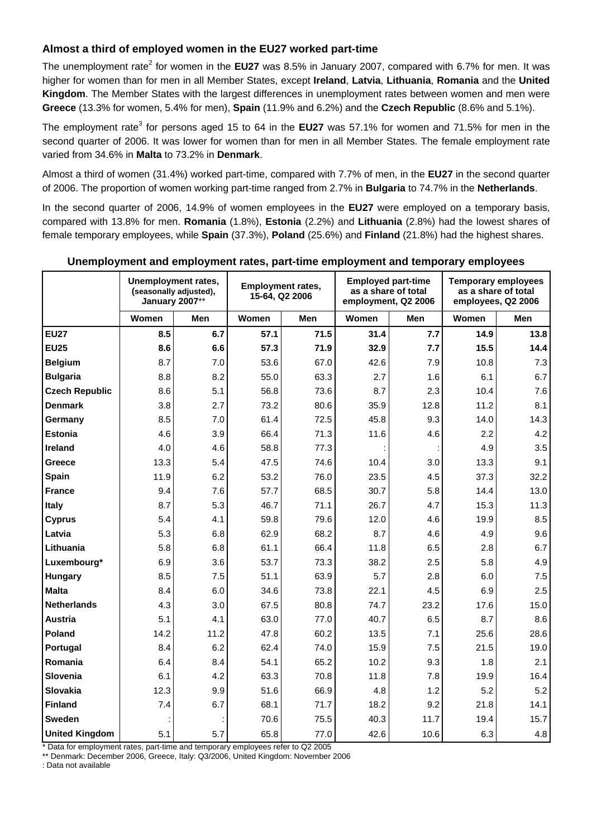# **Almost a third of employed women in the EU27 worked part-time**

The unemployment rate<sup>2</sup> for women in the EU27 was 8.5% in January 2007, compared with 6.7% for men. It was higher for women than for men in all Member States, except **Ireland**, **Latvia**, **Lithuania**, **Romania** and the **United Kingdom**. The Member States with the largest differences in unemployment rates between women and men were **Greece** (13.3% for women, 5.4% for men), **Spain** (11.9% and 6.2%) and the **Czech Republic** (8.6% and 5.1%).

The employment rate<sup>3</sup> for persons aged 15 to 64 in the **EU27** was 57.1% for women and 71.5% for men in the second quarter of 2006. It was lower for women than for men in all Member States. The female employment rate varied from 34.6% in **Malta** to 73.2% in **Denmark**.

Almost a third of women (31.4%) worked part-time, compared with 7.7% of men, in the **EU27** in the second quarter of 2006. The proportion of women working part-time ranged from 2.7% in **Bulgaria** to 74.7% in the **Netherlands**.

In the second quarter of 2006, 14.9% of women employees in the **EU27** were employed on a temporary basis, compared with 13.8% for men. **Romania** (1.8%), **Estonia** (2.2%) and **Lithuania** (2.8%) had the lowest shares of female temporary employees, while **Spain** (37.3%), **Poland** (25.6%) and **Finland** (21.8%) had the highest shares.

### **Unemployment rates, (seasonally adjusted), January 2007**\*\* **Employment rates, 15-64, Q2 2006 Employed part-time as a share of total employment, Q2 2006 Temporary employees as a share of total employees, Q2 2006 Women Men Women Men Women Men Women Men EU27 8.5 6.7 57.1 71.5 31.4 7.7 14.9 13.8 EU25 8.6 6.6 57.3 71.9 32.9 7.7 15.5 14.4 Belgium** 8.7 7.0 53.6 67.0 42.6 7.9 10.8 7.3 **Bulgaria** 8.8 8.2 55.0 63.3 2.7 1.6 6.1 6.7 **Czech Republic | 8.6 8.1 56.8 73.6 8.7 8.7 8.6 8.7 8.6 8.7 8.6 8.8 8.7 8.6 8.8 8.7 8.6 8.8 8.7 8.6 8.7 8.6 8.8 Denmark** | 3.8 2.7 73.2 80.6 35.9 12.8 11.2 8.1 **Germany** | 8.5 7.0 61.4 72.5 45.8 9.3 14.0 14.3 **Estonia** 4.6 3.9 66.4 71.3 11.6 4.6 2.2 4.2 **Ireland** 4.0 4.6 58.8 77.3 : : 4.9 3.5 **Greece** 13.3 5.4 47.5 74.6 10.4 3.0 13.3 9.1 **Spain** 11.9 6.2 53.2 76.0 23.5 4.5 37.3 32.2 **France** 9.4 7.6 57.7 68.5 30.7 5.8 14.4 13.0 **Italy** 8.7 5.3 46.7 71.1 26.7 4.7 15.3 11.3 **Cyprus** 5.4 4.1 59.8 79.6 12.0 4.6 19.9 8.5 **Latvia** 5.3 6.8 62.9 68.2 8.7 4.6 4.9 9.6 **Lithuania** 5.8 6.8 61.1 66.4 11.8 6.5 2.8 6.7 **Luxembourg\*** 6.9 3.6 53.7 73.3 38.2 2.5 5.8 4.9 **Hungary** | 8.5 7.5 51.1 63.9 5.7 2.8 6.0 7.5 **Malta** 8.4 6.0 34.6 73.8 22.1 4.5 6.9 2.5 **Netherlands | 4.3 3.0 67.5 80.8 74.7 23.2 17.6 15.0 Austria** 5.1 4.1 63.0 77.0 40.7 6.5 8.7 8.6 **Poland** 14.2 11.2 47.8 60.2 13.5 7.1 25.6 28.6 **Portugal** 8.4 6.2 62.4 74.0 15.9 7.5 21.5 19.0 **Romania** 6.4 8.4 54.1 65.2 10.2 9.3 1.8 2.1 **Slovenia** 6.1 4.2 63.3 70.8 11.8 7.8 19.9 16.4 **Slovakia** 12.3 9.9 51.6 66.9 4.8 1.2 5.2 5.2 **Finland** 7.4 6.7 68.1 71.7 18.2 9.2 21.8 14.1 **Sweden** : : 70.6 75.5 40.3 11.7 19.4 15.7 **United Kingdom 5.1 5.7 65.8 77.0 42.6 10.6 6.3 4.8**

## **Unemployment and employment rates, part-time employment and temporary employees**

\* Data for employment rates, part-time and temporary employees refer to Q2 2005

\*\* Denmark: December 2006, Greece, Italy: Q3/2006, United Kingdom: November 2006

: Data not available